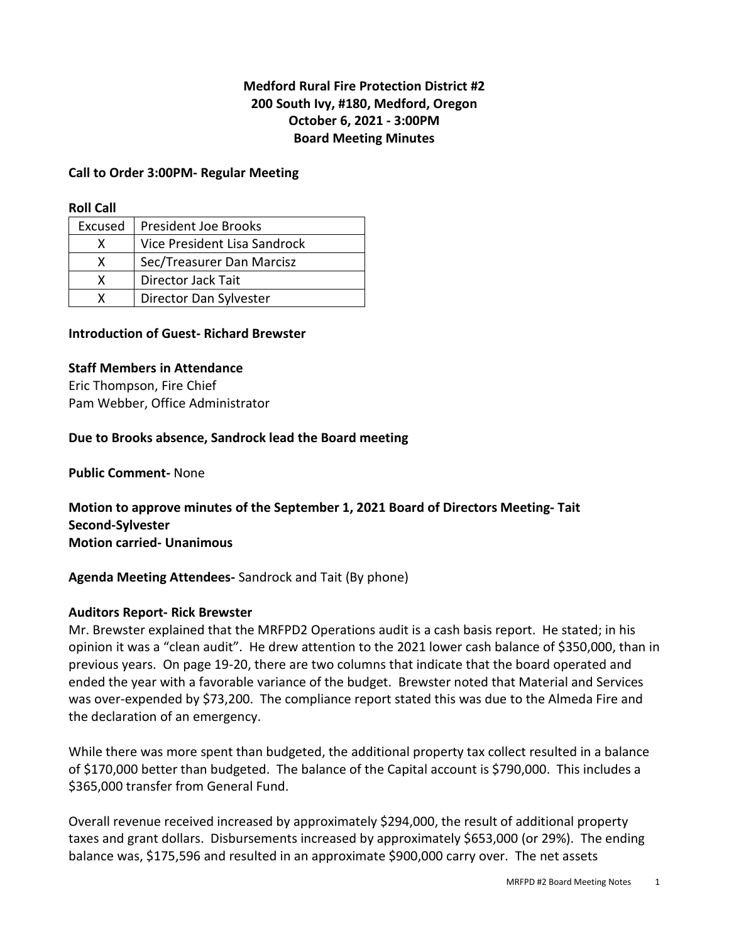# **Medford Rural Fire Protection District #2 200 South Ivy, #180, Medford, Oregon October 6, 2021 - 3:00PM Board Meeting Minutes**

# **Call to Order 3:00PM- Regular Meeting**

### **Roll Call**

| Excused | President Joe Brooks         |
|---------|------------------------------|
|         | Vice President Lisa Sandrock |
| x       | Sec/Treasurer Dan Marcisz    |
|         | Director Jack Tait           |
|         | Director Dan Sylvester       |

# **Introduction of Guest- Richard Brewster**

# **Staff Members in Attendance**

Eric Thompson, Fire Chief Pam Webber, Office Administrator

# **Due to Brooks absence, Sandrock lead the Board meeting**

**Public Comment-** None

**Motion to approve minutes of the September 1, 2021 Board of Directors Meeting- Tait Second-Sylvester Motion carried- Unanimous** 

**Agenda Meeting Attendees-** Sandrock and Tait (By phone)

### **Auditors Report- Rick Brewster**

Mr. Brewster explained that the MRFPD2 Operations audit is a cash basis report. He stated; in his opinion it was a "clean audit". He drew attention to the 2021 lower cash balance of \$350,000, than in previous years. On page 19-20, there are two columns that indicate that the board operated and ended the year with a favorable variance of the budget. Brewster noted that Material and Services was over-expended by \$73,200. The compliance report stated this was due to the Almeda Fire and the declaration of an emergency.

While there was more spent than budgeted, the additional property tax collect resulted in a balance of \$170,000 better than budgeted. The balance of the Capital account is \$790,000. This includes a \$365,000 transfer from General Fund.

Overall revenue received increased by approximately \$294,000, the result of additional property taxes and grant dollars. Disbursements increased by approximately \$653,000 (or 29%). The ending balance was, \$175,596 and resulted in an approximate \$900,000 carry over. The net assets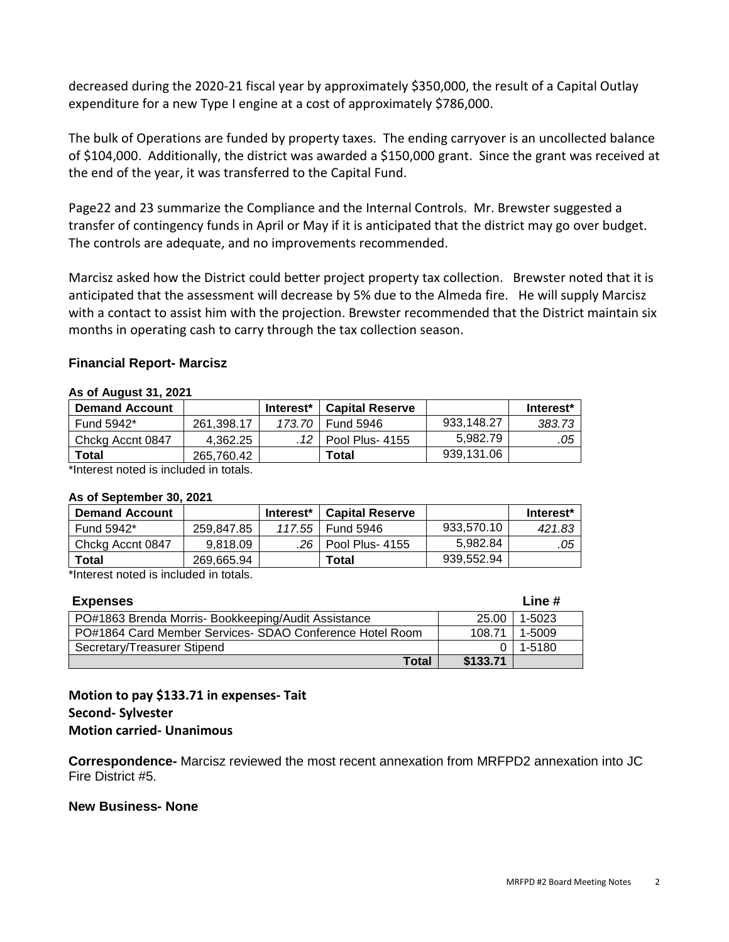decreased during the 2020-21 fiscal year by approximately \$350,000, the result of a Capital Outlay expenditure for a new Type I engine at a cost of approximately \$786,000.

The bulk of Operations are funded by property taxes. The ending carryover is an uncollected balance of \$104,000. Additionally, the district was awarded a \$150,000 grant. Since the grant was received at the end of the year, it was transferred to the Capital Fund.

Page22 and 23 summarize the Compliance and the Internal Controls. Mr. Brewster suggested a transfer of contingency funds in April or May if it is anticipated that the district may go over budget. The controls are adequate, and no improvements recommended.

Marcisz asked how the District could better project property tax collection. Brewster noted that it is anticipated that the assessment will decrease by 5% due to the Almeda fire. He will supply Marcisz with a contact to assist him with the projection. Brewster recommended that the District maintain six months in operating cash to carry through the tax collection season.

# **Financial Report- Marcisz**

#### **As of August 31, 2021**

| <b>Demand Account</b> |            | Interest* | <b>Capital Reserve</b> |            | Interest* |
|-----------------------|------------|-----------|------------------------|------------|-----------|
| Fund 5942*            | 261.398.17 |           | 173,70 Fund 5946       | 933.148.27 | 383.73    |
| Chckg Accnt 0847      | 4.362.25   | 12        | Pool Plus- 4155        | 5.982.79   | .05       |
| Total                 | 265.760.42 |           | Total                  | 939.131.06 |           |

\*Interest noted is included in totals.

#### **As of September 30, 2021**

| <b>Demand Account</b> |            | Interest* | <b>Capital Reserve</b> |            | Interest* |
|-----------------------|------------|-----------|------------------------|------------|-----------|
| Fund 5942*            | 259.847.85 |           | 117.55   Fund 5946     | 933,570.10 | 421.83    |
| Chckg Accnt 0847      | 9.818.09   |           | .26 Pool Plus- 4155    | 5.982.84   | .05       |
| <b>Total</b>          | 269.665.94 |           | Total                  | 939.552.94 |           |

\*Interest noted is included in totals.

| <b>Expenses</b>                                          |          | Line # |
|----------------------------------------------------------|----------|--------|
| PO#1863 Brenda Morris-Bookkeeping/Audit Assistance       | 25.00    | 1-5023 |
| PO#1864 Card Member Services- SDAO Conference Hotel Room | 108.71   | 1-5009 |
| Secretary/Treasurer Stipend                              |          | 1-5180 |
| Total                                                    | \$133.71 |        |

# **Motion to pay \$133.71 in expenses- Tait Second- Sylvester Motion carried- Unanimous**

**Correspondence-** Marcisz reviewed the most recent annexation from MRFPD2 annexation into JC Fire District #5.

### **New Business- None**